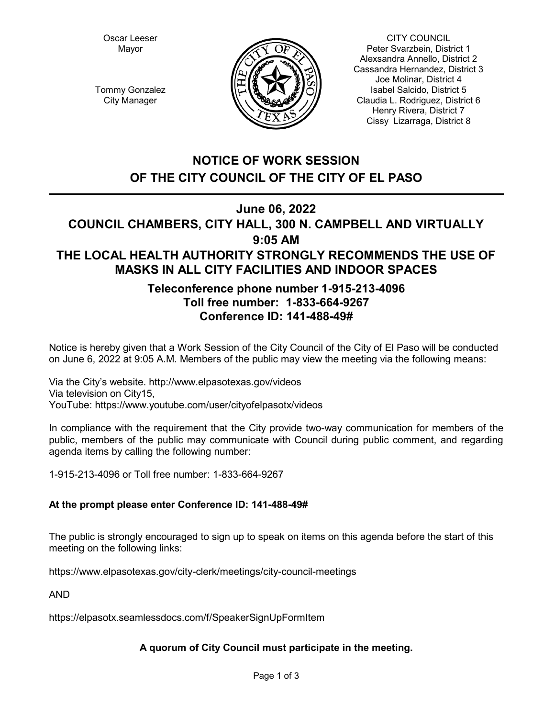Oscar Leeser Mayor



CITY COUNCIL Peter Svarzbein, District 1 Alexsandra Annello, District 2 Cassandra Hernandez, District 3 Joe Molinar, District 4 Isabel Salcido, District 5 Claudia L. Rodriguez, District 6 Henry Rivera, District 7 Cissy Lizarraga, District 8

Tommy Gonzalez City Manager

# **NOTICE OF WORK SESSION OF THE CITY COUNCIL OF THE CITY OF EL PASO**

**June 06, 2022**

# **COUNCIL CHAMBERS, CITY HALL, 300 N. CAMPBELL AND VIRTUALLY 9:05 AM THE LOCAL HEALTH AUTHORITY STRONGLY RECOMMENDS THE USE OF MASKS IN ALL CITY FACILITIES AND INDOOR SPACES**

# **Teleconference phone number 1-915-213-4096 Toll free number: 1-833-664-9267 Conference ID: 141-488-49#**

Notice is hereby given that a Work Session of the City Council of the City of El Paso will be conducted on June 6, 2022 at 9:05 A.M. Members of the public may view the meeting via the following means:

Via the City's website. http://www.elpasotexas.gov/videos Via television on City15, YouTube: https://www.youtube.com/user/cityofelpasotx/videos

In compliance with the requirement that the City provide two-way communication for members of the public, members of the public may communicate with Council during public comment, and regarding agenda items by calling the following number:

1-915-213-4096 or Toll free number: 1-833-664-9267

# **At the prompt please enter Conference ID: 141-488-49#**

The public is strongly encouraged to sign up to speak on items on this agenda before the start of this meeting on the following links:

https://www.elpasotexas.gov/city-clerk/meetings/city-council-meetings

AND

https://elpasotx.seamlessdocs.com/f/SpeakerSignUpFormItem

# **A quorum of City Council must participate in the meeting.**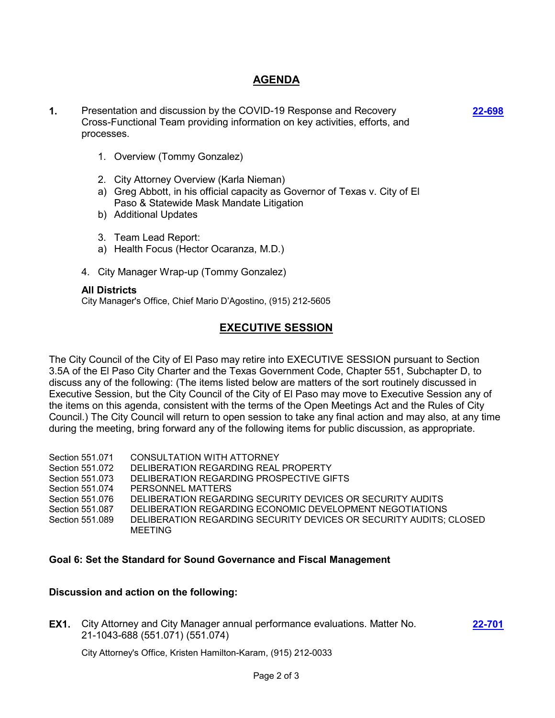## **AGENDA**

**1.** Presentation and discussion by the COVID-19 Response and Recovery Cross-Functional Team providing information on key activities, efforts, and processes.

**[22-698](http://elpasotexas.legistar.com/gateway.aspx?m=l&id=/matter.aspx?key=7161)**

**[22-701](http://elpasotexas.legistar.com/gateway.aspx?m=l&id=/matter.aspx?key=7164)**

- 1. Overview (Tommy Gonzalez)
- 2. City Attorney Overview (Karla Nieman)
- a) Greg Abbott, in his official capacity as Governor of Texas v. City of El Paso & Statewide Mask Mandate Litigation
- b) Additional Updates
- 3. Team Lead Report:
- a) Health Focus (Hector Ocaranza, M.D.)
- 4. City Manager Wrap-up (Tommy Gonzalez)

#### **All Districts**

City Manager's Office, Chief Mario D'Agostino, (915) 212-5605

### **EXECUTIVE SESSION**

The City Council of the City of El Paso may retire into EXECUTIVE SESSION pursuant to Section 3.5A of the El Paso City Charter and the Texas Government Code, Chapter 551, Subchapter D, to discuss any of the following: (The items listed below are matters of the sort routinely discussed in Executive Session, but the City Council of the City of El Paso may move to Executive Session any of the items on this agenda, consistent with the terms of the Open Meetings Act and the Rules of City Council.) The City Council will return to open session to take any final action and may also, at any time during the meeting, bring forward any of the following items for public discussion, as appropriate.

- Section 551.071 CONSULTATION WITH ATTORNEY
- Section 551.072 DELIBERATION REGARDING REAL PROPERTY
- Section 551.073 DELIBERATION REGARDING PROSPECTIVE GIFTS
- Section 551.074 PERSONNEL MATTERS
- Section 551.076 DELIBERATION REGARDING SECURITY DEVICES OR SECURITY AUDITS
- Section 551.087 DELIBERATION REGARDING ECONOMIC DEVELOPMENT NEGOTIATIONS
- Section 551.089 DELIBERATION REGARDING SECURITY DEVICES OR SECURITY AUDITS; CLOSED MEETING

#### **Goal 6: Set the Standard for Sound Governance and Fiscal Management**

#### **Discussion and action on the following:**

**EX1.** City Attorney and City Manager annual performance evaluations. Matter No. 21-1043-688 (551.071) (551.074)

City Attorney's Office, Kristen Hamilton-Karam, (915) 212-0033